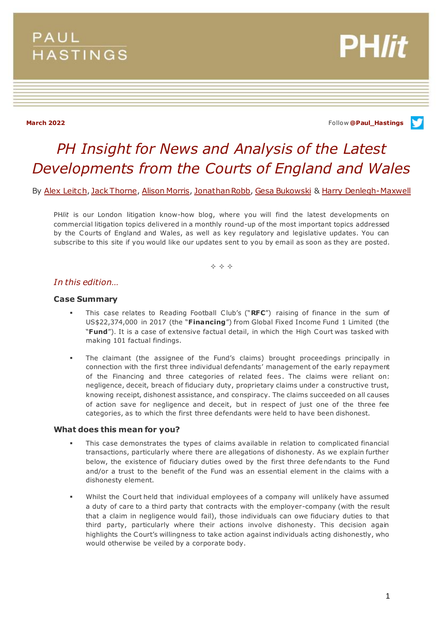## **PAUL HASTINGS**



**March 2022** Follow **[@Paul\\_Hastings](http://twitter.com/Paul_Hastings)**

# *PH Insight for News and Analysis of the Latest Developments from the Courts of England and Wales*

By [Alex Leitch,](https://www.paulhastings.com/professionals/alexleitch) [Jack Thorne,](https://www.paulhastings.com/professionals/details/jackthorne) [Alison Morris,](https://www.paulhastings.com/professionals/details/alisonmorris) [Jonathan Robb,](https://www.paulhastings.com/professionals/details/jonathanrobb) [Gesa Bukowski](https://www.paulhastings.com/professionals/details/gesabukowski) & [Harry Denlegh-Maxwell](https://www.paulhastings.com/professionals/harrydenlegh-maxwell)

PH*lit* is our London litigation know-how blog, where you will find the latest developments on commercial litigation topics delivered in a monthly round-up of the most important topics addressed by the Courts of England and Wales, as well as key regulatory and legislative updates. You can subscribe to this site if you would like our updates sent to you by email as soon as they are posted.

 $\Leftrightarrow$   $\Leftrightarrow$   $\Leftrightarrow$ 

## *In this edition…*

#### **Case Summary**

- This case relates to Reading Football Club's ("**RFC**") raising of finance in the sum of US\$22,374,000 in 2017 (the "**Financing**") from Global Fixed Income Fund 1 Limited (the "**Fund**"). It is a case of extensive factual detail, in which the High Court was tasked with making 101 factual findings.
- The claimant (the assignee of the Fund's claims) brought proceedings principally in connection with the first three individual defendants' management of the early repayment of the Financing and three categories of related fees. The claims were reliant on: negligence, deceit, breach of fiduciary duty, proprietary claims under a constructive trust, knowing receipt, dishonest assistance, and conspiracy. The claims succeeded on all causes of action save for negligence and deceit, but in respect of just one of the three fee categories, as to which the first three defendants were held to have been dishonest.

#### **What does this mean for you?**

- This case demonstrates the types of claims available in relation to complicated financial transactions, particularly where there are allegations of dishonesty. As we explain further below, the existence of fiduciary duties owed by the first three defendants to the Fund and/or a trust to the benefit of the Fund was an essential element in the claims with a dishonesty element.
- Whilst the Court held that individual employees of a company will unlikely have assumed a duty of care to a third party that contracts with the employer-company (with the result that a claim in negligence would fail), those individuals can owe fiduciary duties to that third party, particularly where their actions involve dishonesty. This decision again highlights the Court's willingness to take action against individuals acting dishonestly, who would otherwise be veiled by a corporate body.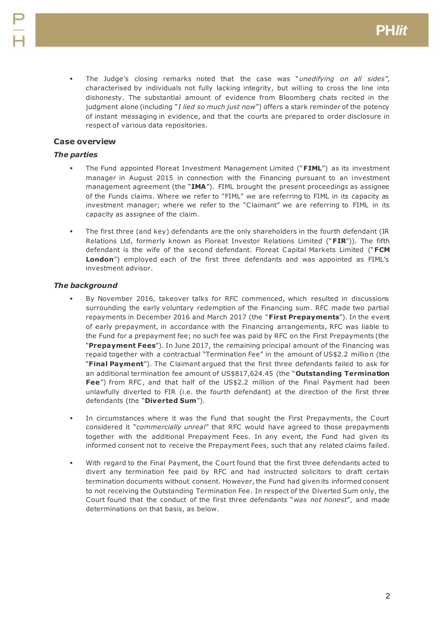The Judge's closing remarks noted that the case was "*unedifying on all sides*", characterised by individuals not fully lacking integrity, but willing to cross the line into dishonesty. The substantial amount of evidence from Bloomberg chats recited in the judgment alone (including "*I lied so much just now*") offers a stark reminder of the potency of instant messaging in evidence, and that the courts are prepared to order disclosure in respect of various data repositories.

## **Case overview**

## *The parties*

- The Fund appointed Floreat Investment Management Limited ("**FIML**") as its investment manager in August 2015 in connection with the Financing pursuant to an investment management agreement (the "**IMA**"). FIML brought the present proceedings as assignee of the Funds claims. Where we refer to "FIML" we are referring to FIML in its capacity as investment manager; where we refer to the "Claimant" we are referring to FIML in its capacity as assignee of the claim.
- The first three (and key) defendants are the only shareholders in the fourth defendant (IR Relations Ltd, formerly known as Floreat Investor Relations Limited ("**FIR**")). The fifth defendant is the wife of the second defendant. Floreat Capital Markets Limited ("**FCM London**") employed each of the first three defendants and was appointed as FIML's investment advisor.

## *The background*

- By November 2016, takeover talks for RFC commenced, which resulted in discussions surrounding the early voluntary redemption of the Financing sum. RFC made two partial repayments in December 2016 and March 2017 (the "**First Prepayments**"). In the event of early prepayment, in accordance with the Financing arrangements, RFC was liable to the Fund for a prepayment fee; no such fee was paid by RFC on the First Prepayments (the "**Prepayment Fees**"). In June 2017, the remaining principal amount of the Financing was repaid together with a contractual "Termination Fee" in the amount of US\$2.2 million (the "**Final Payment**"). The Claimant argued that the first three defendants failed to ask for an additional termination fee amount of US\$817,624.45 (the "**Outstanding Termination Fee**") from RFC, and that half of the US\$2.2 million of the Final Payment had been unlawfully diverted to FIR (i.e. the fourth defendant) at the direction of the first three defendants (the "**Diverted Sum**").
- In circumstances where it was the Fund that sought the First Prepayments, the Court considered it "*commercially unreal*" that RFC would have agreed to those prepayments together with the additional Prepayment Fees. In any event, the Fund had given its informed consent not to receive the Prepayment Fees, such that any related claims failed.
- With regard to the Final Payment, the Court found that the first three defendants acted to divert any termination fee paid by RFC and had instructed solicitors to draft certain termination documents without consent. However, the Fund had given its informed consent to not receiving the Outstanding Termination Fee. In respect of the Diverted Sum only, the Court found that the conduct of the first three defendants "*was not honest*", and made determinations on that basis, as below.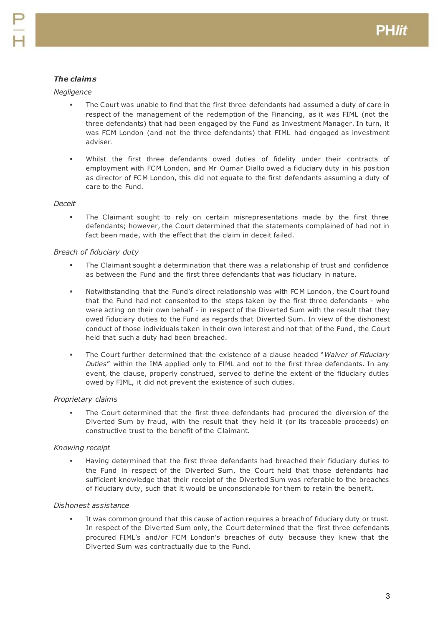## *The claims*

## *Negligence*

- The Court was unable to find that the first three defendants had assumed a duty of care in respect of the management of the redemption of the Financing, as it was FIML (not the three defendants) that had been engaged by the Fund as Investment Manager. In turn, it was FCM London (and not the three defendants) that FIML had engaged as investment adviser.
- Whilst the first three defendants owed duties of fidelity under their contracts of employment with FCM London, and Mr Oumar Diallo owed a fiduciary duty in his position as director of FCM London, this did not equate to the first defendants assuming a duty of care to the Fund.

#### *Deceit*

 The Claimant sought to rely on certain misrepresentations made by the first three defendants; however, the Court determined that the statements complained of had not in fact been made, with the effect that the claim in deceit failed.

#### *Breach of fiduciary duty*

- The Claimant sought a determination that there was a relationship of trust and confidence as between the Fund and the first three defendants that was fiduciary in nature.
- Notwithstanding that the Fund's direct relationship was with FCM London, the Court found that the Fund had not consented to the steps taken by the first three defendants - who were acting on their own behalf - in respect of the Diverted Sum with the result that they owed fiduciary duties to the Fund as regards that Diverted Sum. In view of the dishonest conduct of those individuals taken in their own interest and not that of the Fund, the Court held that such a duty had been breached.
- The Court further determined that the existence of a clause headed "*Waiver of Fiduciary Duties*" within the IMA applied only to FIML and not to the first three defendants. In any event, the clause, properly construed, served to define the extent of the fiduciary duties owed by FIML, it did not prevent the existence of such duties.

## *Proprietary claims*

 The Court determined that the first three defendants had procured the diversion of the Diverted Sum by fraud, with the result that they held it (or its traceable proceeds) on constructive trust to the benefit of the Claimant.

## *Knowing receipt*

 Having determined that the first three defendants had breached their fiduciary duties to the Fund in respect of the Diverted Sum, the Court held that those defendants had sufficient knowledge that their receipt of the Diverted Sum was referable to the breaches of fiduciary duty, such that it would be unconscionable for them to retain the benefit.

## *Dishonest assistance*

 It was common ground that this cause of action requires a breach of fiduciary duty or trust. In respect of the Diverted Sum only, the Court determined that the first three defendants procured FIML's and/or FCM London's breaches of duty because they knew that the Diverted Sum was contractually due to the Fund.